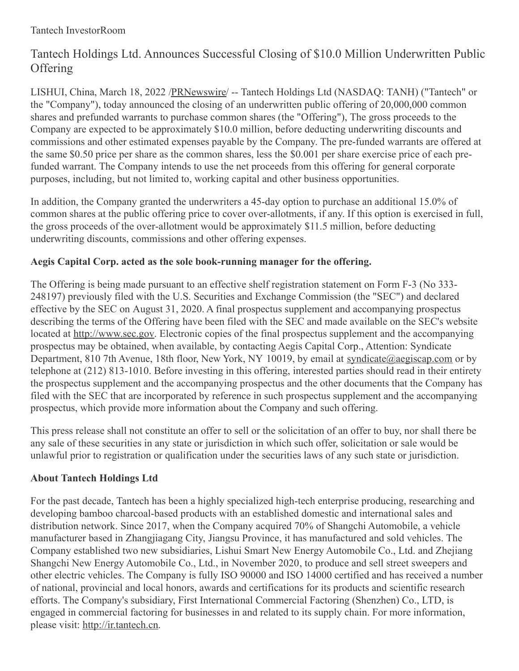## Tantech Holdings Ltd. Announces Successful Closing of \$10.0 Million Underwritten Public **Offering**

LISHUI, China, March 18, 2022 [/PRNewswire](http://www.prnewswire.com/)/ -- Tantech Holdings Ltd (NASDAQ: TANH) ("Tantech" or the "Company"), today announced the closing of an underwritten public offering of 20,000,000 common shares and prefunded warrants to purchase common shares (the "Offering"), The gross proceeds to the Company are expected to be approximately \$10.0 million, before deducting underwriting discounts and commissions and other estimated expenses payable by the Company. The pre-funded warrants are offered at the same \$0.50 price per share as the common shares, less the \$0.001 per share exercise price of each prefunded warrant. The Company intends to use the net proceeds from this offering for general corporate purposes, including, but not limited to, working capital and other business opportunities.

In addition, the Company granted the underwriters a 45-day option to purchase an additional 15.0% of common shares at the public offering price to cover over-allotments, if any. If this option is exercised in full, the gross proceeds of the over-allotment would be approximately \$11.5 million, before deducting underwriting discounts, commissions and other offering expenses.

## **Aegis Capital Corp. acted as the sole book-running manager for the offering.**

The Offering is being made pursuant to an effective shelf registration statement on Form F-3 (No 333- 248197) previously filed with the U.S. Securities and Exchange Commission (the "SEC") and declared effective by the SEC on August 31, 2020. A final prospectus supplement and accompanying prospectus describing the terms of the Offering have been filed with the SEC and made available on the SEC's website located at <http://www.sec.gov>. Electronic copies of the final prospectus supplement and the accompanying prospectus may be obtained, when available, by contacting Aegis Capital Corp., Attention: Syndicate Department, 810 7th Avenue, 18th floor, New York, NY 10019, by email at [syndicate@aegiscap.com](mailto:syndicate@aegiscap.com) or by telephone at (212) 813-1010. Before investing in this offering, interested parties should read in their entirety the prospectus supplement and the accompanying prospectus and the other documents that the Company has filed with the SEC that are incorporated by reference in such prospectus supplement and the accompanying prospectus, which provide more information about the Company and such offering.

This press release shall not constitute an offer to sell or the solicitation of an offer to buy, nor shall there be any sale of these securities in any state or jurisdiction in which such offer, solicitation or sale would be unlawful prior to registration or qualification under the securities laws of any such state or jurisdiction.

## **About Tantech Holdings Ltd**

For the past decade, Tantech has been a highly specialized high-tech enterprise producing, researching and developing bamboo charcoal-based products with an established domestic and international sales and distribution network. Since 2017, when the Company acquired 70% of Shangchi Automobile, a vehicle manufacturer based in Zhangjiagang City, Jiangsu Province, it has manufactured and sold vehicles. The Company established two new subsidiaries, Lishui Smart New Energy Automobile Co., Ltd. and Zhejiang Shangchi New Energy Automobile Co., Ltd., in November 2020, to produce and sell street sweepers and other electric vehicles. The Company is fully ISO 90000 and ISO 14000 certified and has received a number of national, provincial and local honors, awards and certifications for its products and scientific research efforts. The Company's subsidiary, First International Commercial Factoring (Shenzhen) Co., LTD, is engaged in commercial factoring for businesses in and related to its supply chain. For more information, please visit: [http://ir.tantech.cn](http://ir.tantech.cn/).